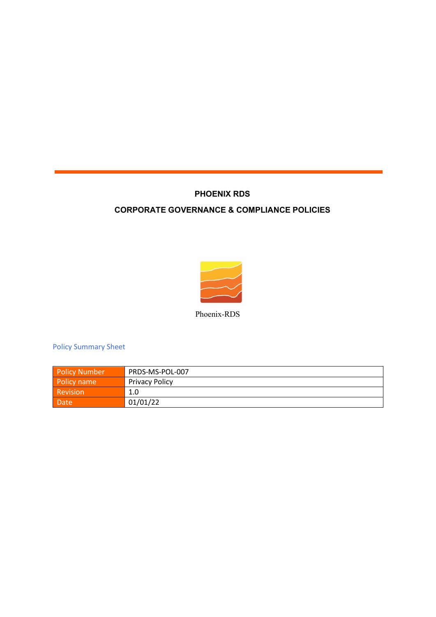# **PHOENIX RDS**

# **CORPORATE GOVERNANCE & COMPLIANCE POLICIES**



Phoenix-RDS

Policy Summary Sheet

| <b>Policy Number</b> | PRDS-MS-POL-007       |
|----------------------|-----------------------|
| Policy name          | <b>Privacy Policy</b> |
| <b>Revision</b>      | 1.0                   |
| <b>Date</b>          | 01/01/22              |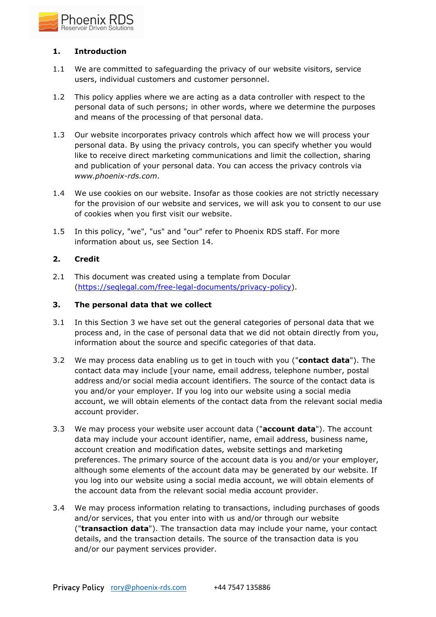

# **1. Introduction**

- 1.1 We are committed to safeguarding the privacy of our website visitors, service users, individual customers and customer personnel.
- 1.2 This policy applies where we are acting as a data controller with respect to the personal data of such persons; in other words, where we determine the purposes and means of the processing of that personal data.
- 1.3 Our website incorporates privacy controls which affect how we will process your personal data. By using the privacy controls, you can specify whether you would like to receive direct marketing communications and limit the collection, sharing and publication of your personal data. You can access the privacy controls via *www.phoenix-rds.com*.
- 1.4 We use cookies on our website. Insofar as those cookies are not strictly necessary for the provision of our website and services, we will ask you to consent to our use of cookies when you first visit our website.
- 1.5 In this policy, "we", "us" and "our" refer to Phoenix RDS staff. For more information about us, see Section 14.

## **2. Credit**

2.1 This document was created using a template from Docular (https://seqlegal.com/free-legal-documents/privacy-policy).

#### **3. The personal data that we collect**

- 3.1 In this Section 3 we have set out the general categories of personal data that we process and, in the case of personal data that we did not obtain directly from you, information about the source and specific categories of that data.
- 3.2 We may process data enabling us to get in touch with you ("**contact data**"). The contact data may include [your name, email address, telephone number, postal address and/or social media account identifiers. The source of the contact data is you and/or your employer. If you log into our website using a social media account, we will obtain elements of the contact data from the relevant social media account provider.
- 3.3 We may process your website user account data ("**account data**"). The account data may include your account identifier, name, email address, business name, account creation and modification dates, website settings and marketing preferences. The primary source of the account data is you and/or your employer, although some elements of the account data may be generated by our website. If you log into our website using a social media account, we will obtain elements of the account data from the relevant social media account provider.
- 3.4 We may process information relating to transactions, including purchases of goods and/or services, that you enter into with us and/or through our website ("**transaction data**"). The transaction data may include your name, your contact details, and the transaction details. The source of the transaction data is you and/or our payment services provider.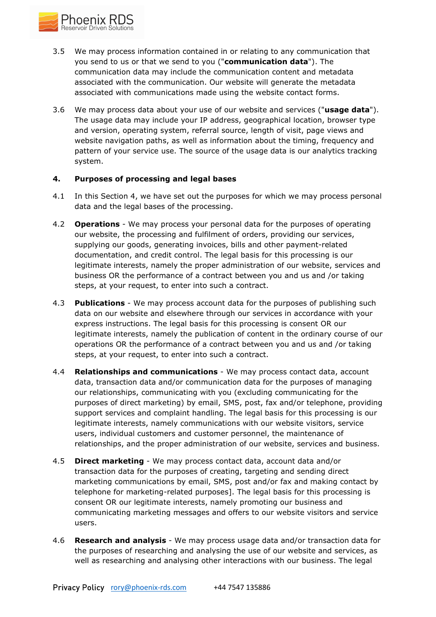

- 3.5 We may process information contained in or relating to any communication that you send to us or that we send to you ("**communication data**"). The communication data may include the communication content and metadata associated with the communication. Our website will generate the metadata associated with communications made using the website contact forms.
- 3.6 We may process data about your use of our website and services ("**usage data**"). The usage data may include your IP address, geographical location, browser type and version, operating system, referral source, length of visit, page views and website navigation paths, as well as information about the timing, frequency and pattern of your service use. The source of the usage data is our analytics tracking system.

# **4. Purposes of processing and legal bases**

- 4.1 In this Section 4, we have set out the purposes for which we may process personal data and the legal bases of the processing.
- 4.2 **Operations**  We may process your personal data for the purposes of operating our website, the processing and fulfilment of orders, providing our services, supplying our goods, generating invoices, bills and other payment-related documentation, and credit control. The legal basis for this processing is our legitimate interests, namely the proper administration of our website, services and business OR the performance of a contract between you and us and /or taking steps, at your request, to enter into such a contract.
- 4.3 **Publications**  We may process account data for the purposes of publishing such data on our website and elsewhere through our services in accordance with your express instructions. The legal basis for this processing is consent OR our legitimate interests, namely the publication of content in the ordinary course of our operations OR the performance of a contract between you and us and /or taking steps, at your request, to enter into such a contract.
- 4.4 **Relationships and communications** We may process contact data, account data, transaction data and/or communication data for the purposes of managing our relationships, communicating with you (excluding communicating for the purposes of direct marketing) by email, SMS, post, fax and/or telephone, providing support services and complaint handling. The legal basis for this processing is our legitimate interests, namely communications with our website visitors, service users, individual customers and customer personnel, the maintenance of relationships, and the proper administration of our website, services and business.
- 4.5 **Direct marketing**  We may process contact data, account data and/or transaction data for the purposes of creating, targeting and sending direct marketing communications by email, SMS, post and/or fax and making contact by telephone for marketing-related purposes]. The legal basis for this processing is consent OR our legitimate interests, namely promoting our business and communicating marketing messages and offers to our website visitors and service users.
- 4.6 **Research and analysis**  We may process usage data and/or transaction data for the purposes of researching and analysing the use of our website and services, as well as researching and analysing other interactions with our business. The legal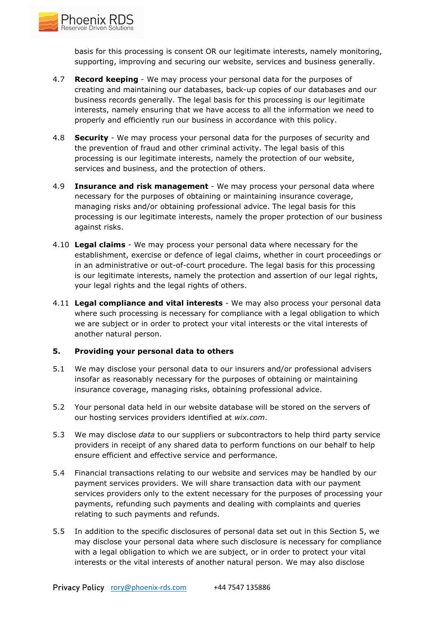

basis for this processing is consent OR our legitimate interests, namely monitoring, supporting, improving and securing our website, services and business generally.

- 4.7 **Record keeping**  We may process your personal data for the purposes of creating and maintaining our databases, back-up copies of our databases and our business records generally. The legal basis for this processing is our legitimate interests, namely ensuring that we have access to all the information we need to properly and efficiently run our business in accordance with this policy.
- 4.8 **Security**  We may process your personal data for the purposes of security and the prevention of fraud and other criminal activity. The legal basis of this processing is our legitimate interests, namely the protection of our website, services and business, and the protection of others.
- 4.9 **Insurance and risk management** We may process your personal data where necessary for the purposes of obtaining or maintaining insurance coverage, managing risks and/or obtaining professional advice. The legal basis for this processing is our legitimate interests, namely the proper protection of our business against risks.
- 4.10 **Legal claims** We may process your personal data where necessary for the establishment, exercise or defence of legal claims, whether in court proceedings or in an administrative or out-of-court procedure. The legal basis for this processing is our legitimate interests, namely the protection and assertion of our legal rights, your legal rights and the legal rights of others.
- 4.11 **Legal compliance and vital interests** We may also process your personal data where such processing is necessary for compliance with a legal obligation to which we are subject or in order to protect your vital interests or the vital interests of another natural person.

#### **5. Providing your personal data to others**

- 5.1 We may disclose your personal data to our insurers and/or professional advisers insofar as reasonably necessary for the purposes of obtaining or maintaining insurance coverage, managing risks, obtaining professional advice.
- 5.2 Your personal data held in our website database will be stored on the servers of our hosting services providers identified at *wix.com*.
- 5.3 We may disclose *data* to our suppliers or subcontractors to help third party service providers in receipt of any shared data to perform functions on our behalf to help ensure efficient and effective service and performance.
- 5.4 Financial transactions relating to our website and services may be handled by our payment services providers. We will share transaction data with our payment services providers only to the extent necessary for the purposes of processing your payments, refunding such payments and dealing with complaints and queries relating to such payments and refunds.
- 5.5 In addition to the specific disclosures of personal data set out in this Section 5, we may disclose your personal data where such disclosure is necessary for compliance with a legal obligation to which we are subject, or in order to protect your vital interests or the vital interests of another natural person. We may also disclose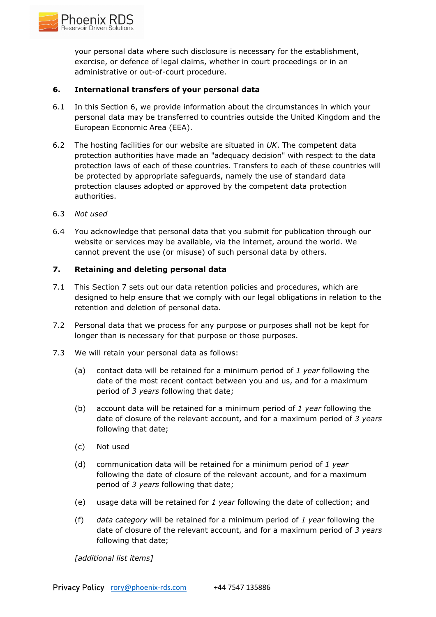

your personal data where such disclosure is necessary for the establishment, exercise, or defence of legal claims, whether in court proceedings or in an administrative or out-of-court procedure.

# **6. International transfers of your personal data**

- 6.1 In this Section 6, we provide information about the circumstances in which your personal data may be transferred to countries outside the United Kingdom and the European Economic Area (EEA).
- 6.2 The hosting facilities for our website are situated in *UK*. The competent data protection authorities have made an "adequacy decision" with respect to the data protection laws of each of these countries. Transfers to each of these countries will be protected by appropriate safeguards, namely the use of standard data protection clauses adopted or approved by the competent data protection authorities.
- 6.3 *Not used*
- 6.4 You acknowledge that personal data that you submit for publication through our website or services may be available, via the internet, around the world. We cannot prevent the use (or misuse) of such personal data by others.

## **7. Retaining and deleting personal data**

- 7.1 This Section 7 sets out our data retention policies and procedures, which are designed to help ensure that we comply with our legal obligations in relation to the retention and deletion of personal data.
- 7.2 Personal data that we process for any purpose or purposes shall not be kept for longer than is necessary for that purpose or those purposes.
- 7.3 We will retain your personal data as follows:
	- (a) contact data will be retained for a minimum period of *1 year* following the date of the most recent contact between you and us, and for a maximum period of *3 years* following that date;
	- (b) account data will be retained for a minimum period of *1 year* following the date of closure of the relevant account, and for a maximum period of *3 years* following that date;
	- (c) Not used
	- (d) communication data will be retained for a minimum period of *1 year* following the date of closure of the relevant account, and for a maximum period of *3 years* following that date;
	- (e) usage data will be retained for *1 year* following the date of collection; and
	- (f) *data category* will be retained for a minimum period of *1 year* following the date of closure of the relevant account, and for a maximum period of *3 years* following that date;

*[additional list items]*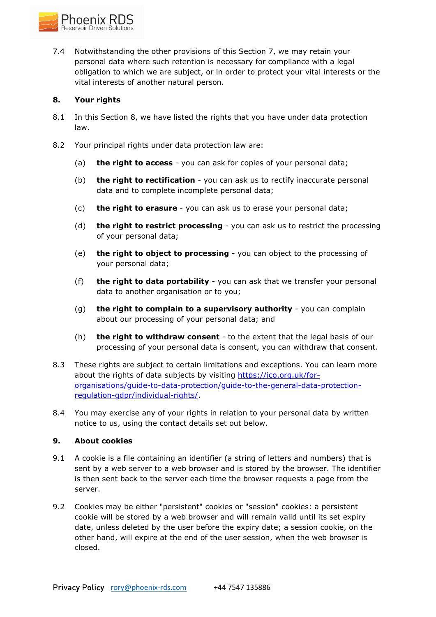

7.4 Notwithstanding the other provisions of this Section 7, we may retain your personal data where such retention is necessary for compliance with a legal obligation to which we are subject, or in order to protect your vital interests or the vital interests of another natural person.

## **8. Your rights**

- 8.1 In this Section 8, we have listed the rights that you have under data protection law.
- 8.2 Your principal rights under data protection law are:
	- (a) **the right to access** you can ask for copies of your personal data;
	- (b) **the right to rectification** you can ask us to rectify inaccurate personal data and to complete incomplete personal data;
	- (c) **the right to erasure** you can ask us to erase your personal data;
	- (d) **the right to restrict processing** you can ask us to restrict the processing of your personal data;
	- (e) **the right to object to processing** you can object to the processing of your personal data;
	- (f) **the right to data portability** you can ask that we transfer your personal data to another organisation or to you;
	- (g) **the right to complain to a supervisory authority** you can complain about our processing of your personal data; and
	- (h) **the right to withdraw consent** to the extent that the legal basis of our processing of your personal data is consent, you can withdraw that consent.
- 8.3 These rights are subject to certain limitations and exceptions. You can learn more about the rights of data subjects by visiting https://ico.org.uk/fororganisations/guide-to-data-protection/guide-to-the-general-data-protectionregulation-gdpr/individual-rights/.
- 8.4 You may exercise any of your rights in relation to your personal data by written notice to us, using the contact details set out below.

#### **9. About cookies**

- 9.1 A cookie is a file containing an identifier (a string of letters and numbers) that is sent by a web server to a web browser and is stored by the browser. The identifier is then sent back to the server each time the browser requests a page from the server.
- 9.2 Cookies may be either "persistent" cookies or "session" cookies: a persistent cookie will be stored by a web browser and will remain valid until its set expiry date, unless deleted by the user before the expiry date; a session cookie, on the other hand, will expire at the end of the user session, when the web browser is closed.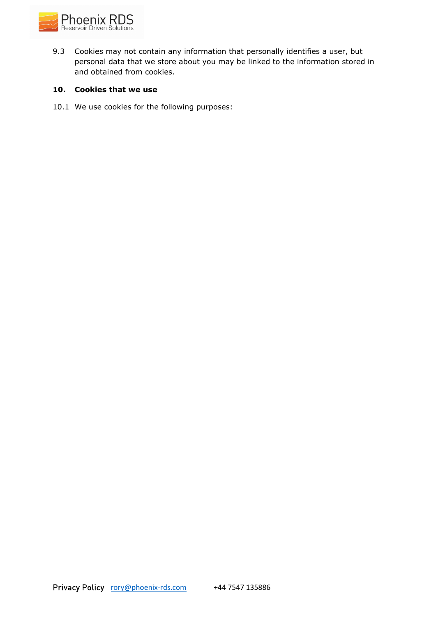

9.3 Cookies may not contain any information that personally identifies a user, but personal data that we store about you may be linked to the information stored in and obtained from cookies.

# **10. Cookies that we use**

10.1 We use cookies for the following purposes: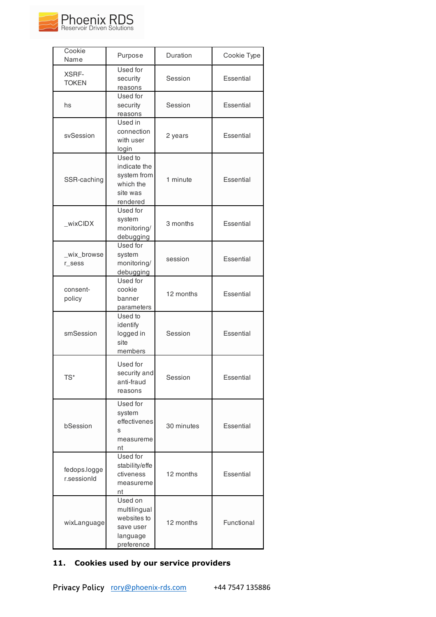

| Cookie<br>Name              | Purpose                                                                       | Duration   | Cookie Type |
|-----------------------------|-------------------------------------------------------------------------------|------------|-------------|
| XSRF-<br><b>TOKEN</b>       | Used for<br>security<br>reasons                                               | Session    | Essential   |
| hs                          | Used for<br>security<br>reasons                                               | Session    | Essential   |
| svSession                   | Used in<br>connection<br>with user<br>login                                   | 2 years    | Essential   |
| SSR-caching                 | Used to<br>indicate the<br>system from<br>which the<br>site was<br>rendered   | 1 minute   | Essential   |
| wixCIDX                     | Used for<br>system<br>monitoring/<br>debugging                                | 3 months   | Essential   |
| wix browse<br>r sess        | Used for<br>system<br>monitoring/<br>debugging                                | session    | Essential   |
| consent-<br>policy          | Used for<br>cookie<br>banner<br>parameters                                    | 12 months  | Essential   |
| smSession                   | Used to<br>identify<br>logged in<br>site<br>members                           | Session    | Essential   |
| TS*                         | Used for<br>security and<br>anti-fraud<br>reasons                             | Session    | Essential   |
| bSession                    | Used for<br>system<br>effectivenes<br>S<br>measureme<br>nt                    | 30 minutes | Essential   |
| fedops.logge<br>r.sessionId | Used for<br>stability/effe<br>ctiveness<br>measureme<br>nt                    | 12 months  | Essential   |
| wixLanguage                 | Used on<br>multilingual<br>websites to<br>save user<br>language<br>preference | 12 months  | Functional  |

# **11. Cookies used by our service providers**

Privacy Policy rory@phoenix-rds.com +44 7547 135886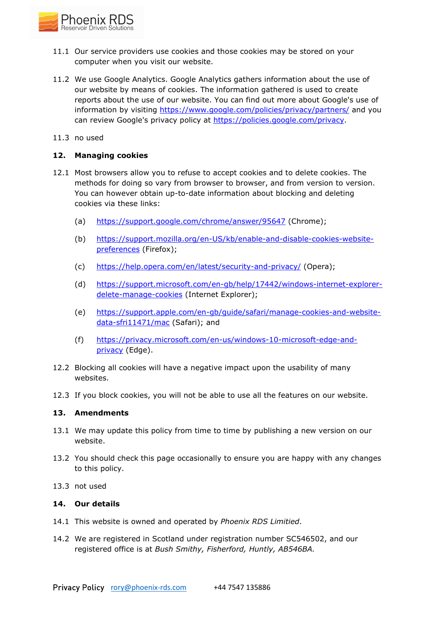

- 11.1 Our service providers use cookies and those cookies may be stored on your computer when you visit our website.
- 11.2 We use Google Analytics. Google Analytics gathers information about the use of our website by means of cookies. The information gathered is used to create reports about the use of our website. You can find out more about Google's use of information by visiting https://www.google.com/policies/privacy/partners/ and you can review Google's privacy policy at https://policies.google.com/privacy.
- 11.3 no used

#### **12. Managing cookies**

- 12.1 Most browsers allow you to refuse to accept cookies and to delete cookies. The methods for doing so vary from browser to browser, and from version to version. You can however obtain up-to-date information about blocking and deleting cookies via these links:
	- (a) https://support.google.com/chrome/answer/95647 (Chrome);
	- (b) https://support.mozilla.org/en-US/kb/enable-and-disable-cookies-websitepreferences (Firefox);
	- (c) https://help.opera.com/en/latest/security-and-privacy/ (Opera);
	- (d) https://support.microsoft.com/en-gb/help/17442/windows-internet-explorerdelete-manage-cookies (Internet Explorer);
	- (e) https://support.apple.com/en-gb/guide/safari/manage-cookies-and-websitedata-sfri11471/mac (Safari); and
	- (f) https://privacy.microsoft.com/en-us/windows-10-microsoft-edge-andprivacy (Edge).
- 12.2 Blocking all cookies will have a negative impact upon the usability of many websites.
- 12.3 If you block cookies, you will not be able to use all the features on our website.

#### **13. Amendments**

- 13.1 We may update this policy from time to time by publishing a new version on our website.
- 13.2 You should check this page occasionally to ensure you are happy with any changes to this policy.
- 13.3 not used

#### **14. Our details**

- 14.1 This website is owned and operated by *Phoenix RDS Limitied*.
- 14.2 We are registered in Scotland under registration number SC546502, and our registered office is at *Bush Smithy, Fisherford, Huntly, AB546BA.*